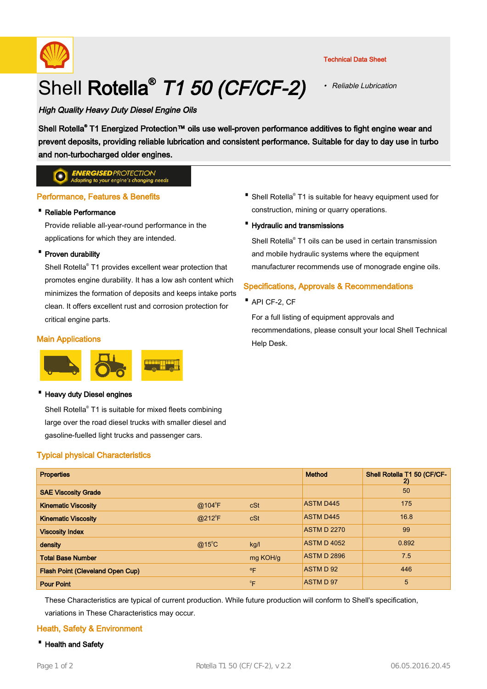

# Shell Rotella<sup>®</sup> T1 50 (CF/CF-2)

### Technical Data Sheet

• Reliable Lubrication

# High Quality Heavy Duty Diesel Engine Oils

Shell Rotella® T1 Energized Protection™ oils use well-proven performance additives to fight engine wear and prevent deposits, providing reliable lubrication and consistent performance. Suitable for day to day use in turbo and non-turbocharged older engines.

#### **ENERGISED PROTECTION**  $\bullet$ ing to your engine's changing needs

# Performance, Features & Benefits

# · Reliable Performance

Provide reliable all-year-round performance in the applications for which they are intended.

# · Proven durability

Shell Rotella® T1 provides excellent wear protection that promotes engine durability. It has a low ash content which minimizes the formation of deposits and keeps intake ports clean. It offers excellent rust and corrosion protection for critical engine parts.

# Main Applications



#### **Heavy duty Diesel engines**

Shell Rotella® T1 is suitable for mixed fleets combining large over the road diesel trucks with smaller diesel and gasoline-fuelled light trucks and passenger cars.

# Typical physical Characteristics

- Shell Rotella<sup>®</sup> T1 is suitable for heavy equipment used for construction, mining or quarry operations.
- · Hydraulic and transmissions

Shell Rotella® T1 oils can be used in certain transmission and mobile hydraulic systems where the equipment manufacturer recommends use of monograde engine oils.

# Specifications, Approvals & Recommendations

· API CF-2, CF

For a full listing of equipment approvals and recommendations, please consult your local Shell Technical Help Desk.

| <b>Properties</b>                       |                 |              | <b>Method</b>      | Shell Rotella T1 50 (CF/CF-<br>$\mathbf{2}$ |
|-----------------------------------------|-----------------|--------------|--------------------|---------------------------------------------|
| <b>SAE Viscosity Grade</b>              |                 |              |                    | 50                                          |
| <b>Kinematic Viscosity</b>              | @104°F          | cSt          | <b>ASTM D445</b>   | 175                                         |
| <b>Kinematic Viscosity</b>              | $@212^{\circ}F$ | cSt          | <b>ASTM D445</b>   | 16.8                                        |
| <b>Viscosity Index</b>                  |                 |              | <b>ASTM D 2270</b> | 99                                          |
| density                                 | $@15^{\circ}$ C | kg/l         | <b>ASTM D 4052</b> | 0.892                                       |
| <b>Total Base Number</b>                |                 | mg KOH/g     | <b>ASTM D 2896</b> | 7.5                                         |
| <b>Flash Point (Cleveland Open Cup)</b> |                 | $^{\circ}$ F | ASTM D 92          | 446                                         |
| <b>Pour Point</b>                       |                 | $^{\circ}$ F | ASTM D 97          | 5                                           |

These Characteristics are typical of current production. While future production will conform to Shell's specification, variations in These Characteristics may occur.

# Heath, Safety & Environment

· Health and Safety